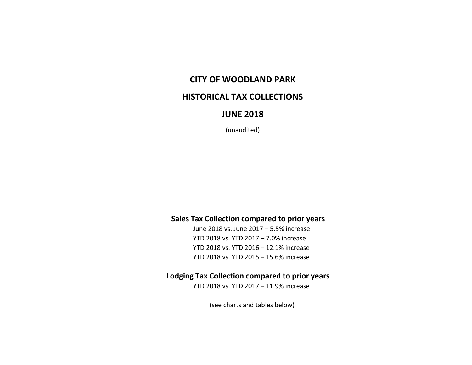## **CITY OF WOODLAND PARK**

### **HISTORICAL TAX COLLECTIONS**

### **JUNE 2018**

(unaudited)

#### **Sales Tax Collection compared to prior years**

June 2018 vs. June 2017 – 5.5% increase YTD 2018 vs. YTD 2017 – 7.0% increase YTD 2018 vs. YTD 2016 – 12.1% increase YTD 2018 vs. YTD 2015 – 15.6% increase

#### **Lodging Tax Collection compared to prior years**

YTD 2018 vs. YTD 2017 – 11.9% increase

(see charts and tables below)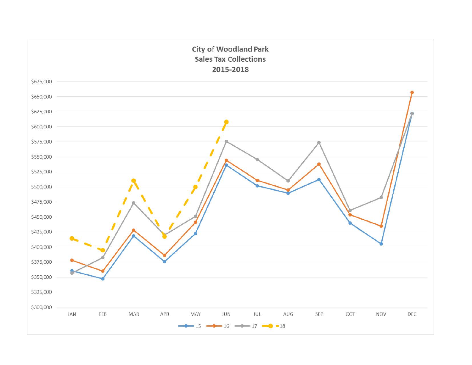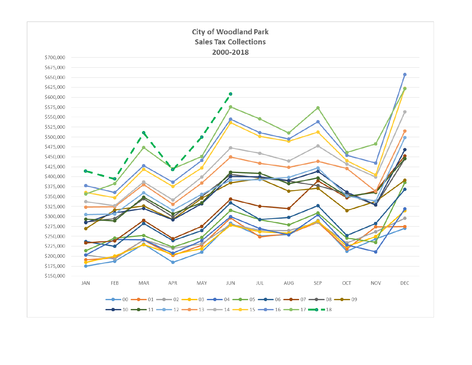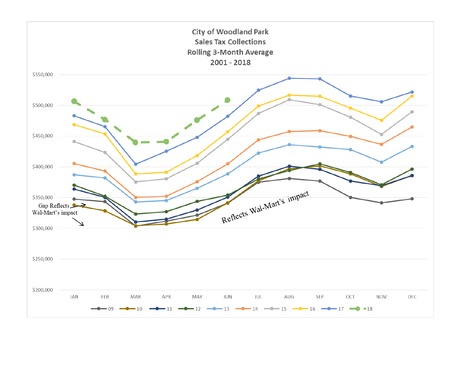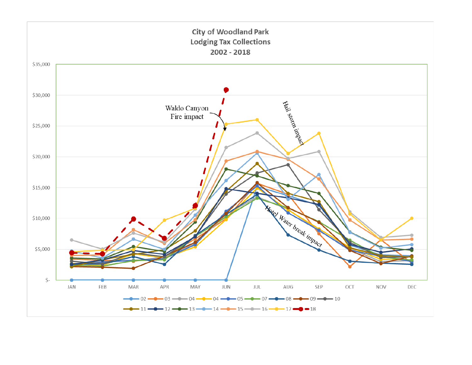